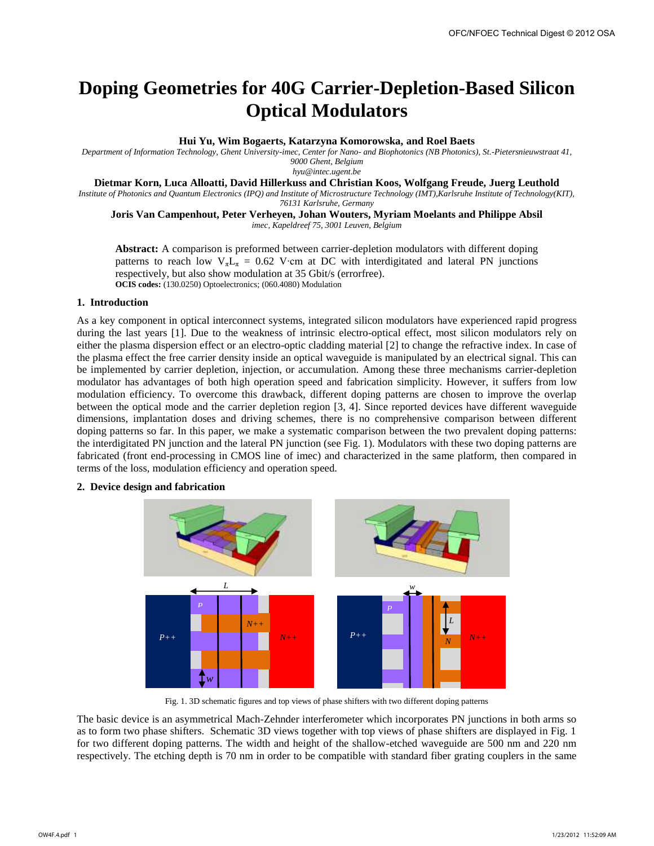# **Doping Geometries for 40G Carrier-Depletion-Based Silicon Optical Modulators**

## **Hui Yu, Wim Bogaerts, Katarzyna Komorowska, and Roel Baets**

*Department of Information Technology, Ghent University-imec, Center for Nano- and Biophotonics (NB Photonics), St.-Pietersnieuwstraat 41, 9000 Ghent, Belgium* 

*hyu@intec.ugent.be* 

**Dietmar Korn, Luca Alloatti, David Hillerkuss and Christian Koos, Wolfgang Freude, Juerg Leuthold** 

*Institute of Photonics and Quantum Electronics (IPQ) and Institute of Microstructure Technology (IMT),Karlsruhe Institute of Technology(KIT),* 

*76131 Karlsruhe, Germany* 

# **Joris Van Campenhout, Peter Verheyen, Johan Wouters, Myriam Moelants and Philippe Absil**

*imec, Kapeldreef 75, 3001 Leuven, Belgium* 

**Abstract:** A comparison is preformed between carrier-depletion modulators with different doping patterns to reach low  $V_{\pi}L_{\pi} = 0.62$  V⋅cm at DC with interdigitated and lateral PN junctions respectively, but also show modulation at 35 Gbit/s (errorfree). **OCIS codes:** (130.0250) Optoelectronics; (060.4080) Modulation

# **1. Introduction**

As a key component in optical interconnect systems, integrated silicon modulators have experienced rapid progress during the last years [1]. Due to the weakness of intrinsic electro-optical effect, most silicon modulators rely on either the plasma dispersion effect or an electro-optic cladding material [2] to change the refractive index. In case of the plasma effect the free carrier density inside an optical waveguide is manipulated by an electrical signal. This can be implemented by carrier depletion, injection, or accumulation. Among these three mechanisms carrier-depletion modulator has advantages of both high operation speed and fabrication simplicity. However, it suffers from low modulation efficiency. To overcome this drawback, different doping patterns are chosen to improve the overlap between the optical mode and the carrier depletion region [3, 4]. Since reported devices have different waveguide dimensions, implantation doses and driving schemes, there is no comprehensive comparison between different doping patterns so far. In this paper, we make a systematic comparison between the two prevalent doping patterns: the interdigitated PN junction and the lateral PN junction (see Fig. 1). Modulators with these two doping patterns are fabricated (front end-processing in CMOS line of imec) and characterized in the same platform, then compared in terms of the loss, modulation efficiency and operation speed.

# **2. Device design and fabrication**



Fig. 1. 3D schematic figures and top views of phase shifters with two different doping patterns

The basic device is an asymmetrical Mach-Zehnder interferometer which incorporates PN junctions in both arms so as to form two phase shifters. Schematic 3D views together with top views of phase shifters are displayed in Fig. 1 for two different doping patterns. The width and height of the shallow-etched waveguide are 500 nm and 220 nm respectively. The etching depth is 70 nm in order to be compatible with standard fiber grating couplers in the same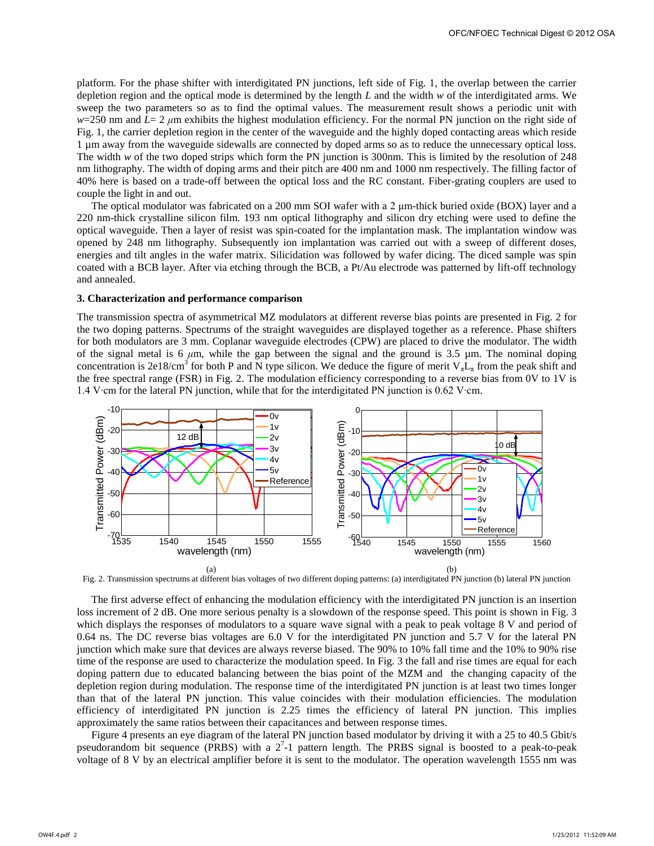platform. For the phase shifter with interdigitated PN junctions, left side of Fig. 1, the overlap between the carrier depletion region and the optical mode is determined by the length *L* and the width *w* of the interdigitated arms. We sweep the two parameters so as to find the optimal values. The measurement result shows a periodic unit with  $w=250$  nm and  $L=2 \mu m$  exhibits the highest modulation efficiency. For the normal PN junction on the right side of Fig. 1, the carrier depletion region in the center of the waveguide and the highly doped contacting areas which reside 1 µm away from the waveguide sidewalls are connected by doped arms so as to reduce the unnecessary optical loss. The width *w* of the two doped strips which form the PN junction is 300nm. This is limited by the resolution of 248 nm lithography. The width of doping arms and their pitch are 400 nm and 1000 nm respectively. The filling factor of 40% here is based on a trade-off between the optical loss and the RC constant. Fiber-grating couplers are used to couple the light in and out.

The optical modulator was fabricated on a 200 mm SOI wafer with a 2 μm-thick buried oxide (BOX) layer and a 220 nm-thick crystalline silicon film. 193 nm optical lithography and silicon dry etching were used to define the optical waveguide. Then a layer of resist was spin-coated for the implantation mask. The implantation window was opened by 248 nm lithography. Subsequently ion implantation was carried out with a sweep of different doses, energies and tilt angles in the wafer matrix. Silicidation was followed by wafer dicing. The diced sample was spin coated with a BCB layer. After via etching through the BCB, a Pt/Au electrode was patterned by lift-off technology and annealed.

# **3. Characterization and performance comparison**

The transmission spectra of asymmetrical MZ modulators at different reverse bias points are presented in Fig. 2 for the two doping patterns. Spectrums of the straight waveguides are displayed together as a reference. Phase shifters for both modulators are 3 mm. Coplanar waveguide electrodes (CPW) are placed to drive the modulator. The width of the signal metal is 6  $\mu$ m, while the gap between the signal and the ground is 3.5  $\mu$ m. The nominal doping concentration is 2e18/cm<sup>3</sup> for both P and N type silicon. We deduce the figure of merit  $V_{\pi}L_{\pi}$  from the peak shift and the free spectral range (FSR) in Fig. 2. The modulation efficiency corresponding to a reverse bias from 0V to 1V is 1.4 V∙cm for the lateral PN junction, while that for the interdigitated PN junction is 0.62 V∙cm.



Fig. 2. Transmission spectrums at different bias voltages of two different doping patterns: (a) interdigitated PN junction (b) lateral PN junction

The first adverse effect of enhancing the modulation efficiency with the interdigitated PN junction is an insertion loss increment of 2 dB. One more serious penalty is a slowdown of the response speed. This point is shown in Fig. 3 which displays the responses of modulators to a square wave signal with a peak to peak voltage 8 V and period of 0.64 ns. The DC reverse bias voltages are 6.0 V for the interdigitated PN junction and 5.7 V for the lateral PN junction which make sure that devices are always reverse biased. The 90% to 10% fall time and the 10% to 90% rise time of the response are used to characterize the modulation speed. In Fig. 3 the fall and rise times are equal for each doping pattern due to educated balancing between the bias point of the MZM and the changing capacity of the depletion region during modulation. The response time of the interdigitated PN junction is at least two times longer than that of the lateral PN junction. This value coincides with their modulation efficiencies. The modulation efficiency of interdigitated PN junction is 2.25 times the efficiency of lateral PN junction. This implies approximately the same ratios between their capacitances and between response times.

Figure 4 presents an eye diagram of the lateral PN junction based modulator by driving it with a 25 to 40.5 Gbit/s pseudorandom bit sequence (PRBS) with a  $2<sup>7</sup>$ -1 pattern length. The PRBS signal is boosted to a peak-to-peak voltage of 8 V by an electrical amplifier before it is sent to the modulator. The operation wavelength 1555 nm was